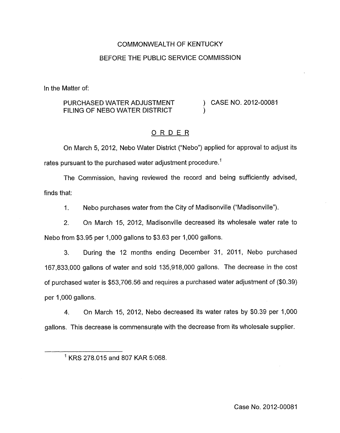# COMMONWEALTH OF KENTUCKY BEFORE THE PUBLIC SERVICE COMMISSION

In the Matter of:

### PURCHASED WATER ADJUSTMENT ) CASE NO. 2012-00081 FILING OF NEBO WATER DISTRICT

# ORDER

On March 5, 2012, Neb0 Water District ("Nebo") applied for approval to adjust its rates pursuant to the purchased water adjustment procedure.<sup>1</sup>

The Commission, having reviewed the record and being sufficiently advised, finds that:

1. Neb0 purchases water from the City of Madisonville ("Madisonville").

2. On March 15, 2012, Madisonville decreased its wholesale water rate to Neb0 from \$3.95 per 1,000 gallons to \$3.63 per 1,000 gallons.

3. During the 12 months ending December 31, 2011, Nebo purchased 167,833,000 gallons of water and sold 135,918,000 gallons. The decrease in the cost of purchased water is \$53,706.56 and requires a purchased water adjustment of (\$0.39) per 1,000 gallons.

**4. On** March 15, 2012, Neb0 decreased its water rates by \$0.39 per 1,000 gallons. This decrease is commensurate with the decrease from its wholesale supplier.

<sup>&#</sup>x27; KRS 278.015 and 807 KAR 5:068.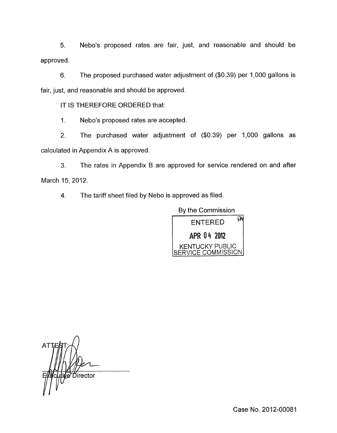**5.** Nebo's proposed rates are fair, just, and reasonable and should be approved.

**6.** The proposed purchased water adjustment of (\$0.39) per 1,000 gallons is fair, just, and reasonable and should be approved.

IT IS THEREFORE ORDERED that:

1. Nebo's proposed rates are accepted.

2. The purchased water adjustment of (\$0.39) per 1,000 gallons as calculated in Appendix A is approved

3. The rates in Appendix B are approved for service rendered on and after March 15, 2012.

4. The tariff sheet filed by Nebo is approved as filed.



*A*  Director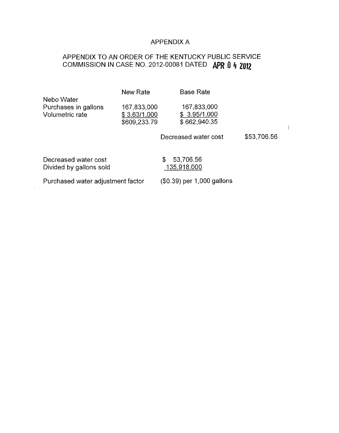# APPENDIX A

# APPENDIX TO AN ORDER OF THE KENTUCKY PUBLIC SERVICE COMMISSION IN CASE NO. 2012-00081 DATED **APR 0 4 2012**

|                                                       | New Rate                                    | <b>Base Rate</b>                            |             |
|-------------------------------------------------------|---------------------------------------------|---------------------------------------------|-------------|
| Nebo Water<br>Purchases in gallons<br>Volumetric rate | 167,833,000<br>\$3.63/1,000<br>\$609,233.79 | 167,833,000<br>\$3.95/1,000<br>\$662,940.35 |             |
|                                                       |                                             | Decreased water cost                        | \$53,706.56 |
| Decreased water cost<br>Divided by gallons sold       |                                             | 53,706.56<br>S.<br>135,918,000              |             |

Purchased water adjustment factor (\$0.39) per 1,000 gallons

I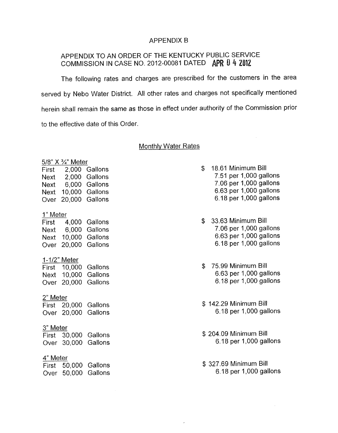#### APPENDIX B

# APPENDIX TO AN ORDER OF THE KENTUCKY PUBLIC SERVICE COMMISSION IN CASE NO. 2012-00081 DATED **0** 4 **2082**

The following rates and charges are prescribed for the customers in the area served by Nebo Water District. All other rates and charges not specifically mentioned herein shall remain the same as those in effect under authority of the Commission prior to the effective date of this Order.

### Monthly Water Rates

| 5/8" X 3/4" Meter   |                    |                |  |  |
|---------------------|--------------------|----------------|--|--|
| First               | 2,000              | Gallons        |  |  |
| Next                | 2,000              | Gallons        |  |  |
|                     | Next 6,000 Gallons |                |  |  |
| Next                |                    | 10,000 Gallons |  |  |
| Over                | 20,000             | Gallons        |  |  |
| 1" Meter            |                    |                |  |  |
|                     | First 4,000        | Gallons        |  |  |
|                     | Next 6,000         | Gallons        |  |  |
|                     | Next 10,000        | Gallons        |  |  |
| Over                | 20,000             | Gallons        |  |  |
| <u>1-1/2" Meter</u> |                    |                |  |  |
|                     | First 10,000       | Gallons        |  |  |
|                     | Next 10,000        | Gallons        |  |  |
| Over                | 20,000             | Gallons        |  |  |
| 2" Meter            |                    |                |  |  |
|                     | First 20,000       | Gallons        |  |  |
|                     | Over 20,000        | Gallons        |  |  |
|                     |                    |                |  |  |
| <u>3" Meter</u>     |                    |                |  |  |
|                     | First 30,000       | Gallons        |  |  |
|                     | Over 30,000        | Gallons        |  |  |
| 4" Meter            |                    |                |  |  |
|                     | First 50,000       | Gallons        |  |  |
|                     | Over 50,000        | Gallons        |  |  |
|                     |                    |                |  |  |

- \$ 18.61 Minimum Bill 7.51 per 1,000 gallons 7.06 per 1,000 gallons 6.63 per 1,000 gallons 6.18 per 1,000 gallons
- \$ 33.63 Minimum Bill 7.06 per 1,000 gallons 6.63 per 1,000 gallons 6.18 per 1,000 gallons
- \$ 75.99 Minimum Bill 6.63 per 1,000 gallons 6.18 per 1,000 gallons
- \$ 142.29 Minimum Bill 6.18 per 1,000 gallons
- \$ 204.09 Minimum Bill 6.18 per 1,000 gallons
- \$ 327.69 Minimum Bill 6.18 per 1,000 gallons